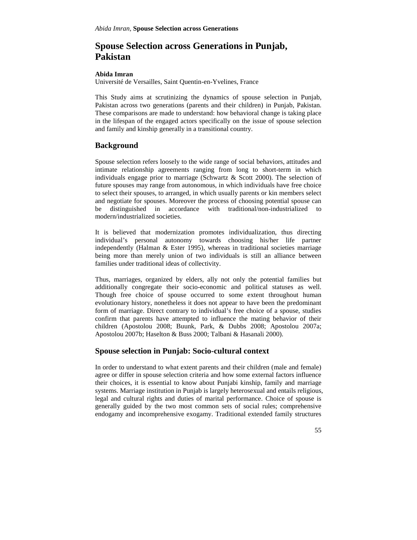# **Spouse Selection across Generations in Punjab, Pakistan**

#### **Abida Imran**

Université de Versailles, Saint Quentin-en-Yvelines, France

This Study aims at scrutinizing the dynamics of spouse selection in Punjab, Pakistan across two generations (parents and their children) in Punjab, Pakistan. These comparisons are made to understand: how behavioral change is taking place in the lifespan of the engaged actors specifically on the issue of spouse selection and family and kinship generally in a transitional country.

## **Background**

Spouse selection refers loosely to the wide range of social behaviors, attitudes and intimate relationship agreements ranging from long to short-term in which individuals engage prior to marriage (Schwartz & Scott 2000). The selection of future spouses may range from autonomous, in which individuals have free choice to select their spouses, to arranged, in which usually parents or kin members select and negotiate for spouses. Moreover the process of choosing potential spouse can be distinguished in accordance with traditional/non-industrialized to modern/industrialized societies.

It is believed that modernization promotes individualization, thus directing individual's personal autonomy towards choosing his/her life partner independently (Halman & Ester 1995), whereas in traditional societies marriage being more than merely union of two individuals is still an alliance between families under traditional ideas of collectivity.

Thus, marriages, organized by elders, ally not only the potential families but additionally congregate their socio-economic and political statuses as well. Though free choice of spouse occurred to some extent throughout human evolutionary history, nonetheless it does not appear to have been the predominant form of marriage. Direct contrary to individual's free choice of a spouse, studies confirm that parents have attempted to influence the mating behavior of their children (Apostolou 2008; Buunk, Park, & Dubbs 2008; Apostolou 2007a; Apostolou 2007b; Haselton & Buss 2000; Talbani & Hasanali 2000).

### **Spouse selection in Punjab: Socio-cultural context**

In order to understand to what extent parents and their children (male and female) agree or differ in spouse selection criteria and how some external factors influence their choices, it is essential to know about Punjabi kinship, family and marriage systems. Marriage institution in Punjab is largely heterosexual and entails religious, legal and cultural rights and duties of marital performance. Choice of spouse is generally guided by the two most common sets of social rules; comprehensive endogamy and incomprehensive exogamy. Traditional extended family structures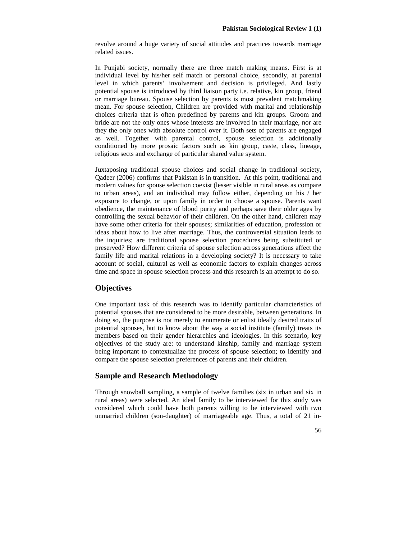revolve around a huge variety of social attitudes and practices towards marriage related issues.

In Punjabi society, normally there are three match making means. First is at individual level by his/her self match or personal choice, secondly, at parental level in which parents' involvement and decision is privileged. And lastly potential spouse is introduced by third liaison party i.e. relative, kin group, friend or marriage bureau. Spouse selection by parents is most prevalent matchmaking mean. For spouse selection, Children are provided with marital and relationship choices criteria that is often predefined by parents and kin groups. Groom and bride are not the only ones whose interests are involved in their marriage, nor are they the only ones with absolute control over it. Both sets of parents are engaged as well. Together with parental control, spouse selection is additionally conditioned by more prosaic factors such as kin group, caste, class, lineage, religious sects and exchange of particular shared value system.

Juxtaposing traditional spouse choices and social change in traditional society, Qadeer (2006) confirms that Pakistan is in transition. At this point, traditional and modern values for spouse selection coexist (lesser visible in rural areas as compare to urban areas), and an individual may follow either, depending on his / her exposure to change, or upon family in order to choose a spouse. Parents want obedience, the maintenance of blood purity and perhaps save their older ages by controlling the sexual behavior of their children. On the other hand, children may have some other criteria for their spouses; similarities of education, profession or ideas about how to live after marriage. Thus, the controversial situation leads to the inquiries; are traditional spouse selection procedures being substituted or preserved? How different criteria of spouse selection across generations affect the family life and marital relations in a developing society? It is necessary to take account of social, cultural as well as economic factors to explain changes across time and space in spouse selection process and this research is an attempt to do so.

# **Objectives**

One important task of this research was to identify particular characteristics of potential spouses that are considered to be more desirable, between generations. In doing so, the purpose is not merely to enumerate or enlist ideally desired traits of potential spouses, but to know about the way a social institute (family) treats its members based on their gender hierarchies and ideologies. In this scenario, key objectives of the study are: to understand kinship, family and marriage system being important to contextualize the process of spouse selection; to identify and compare the spouse selection preferences of parents and their children.

### **Sample and Research Methodology**

Through snowball sampling, a sample of twelve families (six in urban and six in rural areas) were selected. An ideal family to be interviewed for this study was considered which could have both parents willing to be interviewed with two unmarried children (son-daughter) of marriageable age. Thus, a total of 21 in-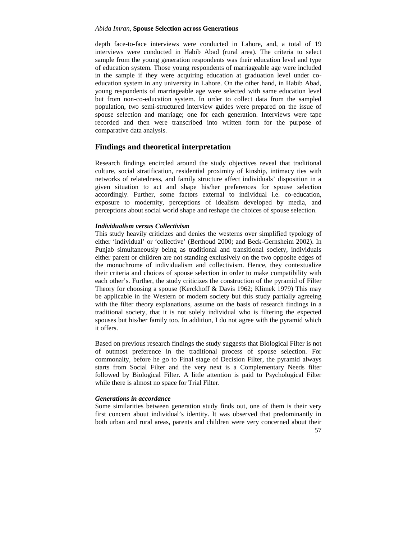#### *Abida Imran,* **Spouse Selection across Generations**

depth face-to-face interviews were conducted in Lahore, and, a total of 19 interviews were conducted in Habib Abad (rural area). The criteria to select sample from the young generation respondents was their education level and type of education system. Those young respondents of marriageable age were included in the sample if they were acquiring education at graduation level under co education system in any university in Lahore. On the other hand, in Habib Abad, young respondents of marriageable age were selected with same education level but from non-co-education system. In order to collect data from the sampled population, two semi-structured interview guides were prepared on the issue of spouse selection and marriage; one for each generation. Interviews were tape recorded and then were transcribed into written form for the purpose of comparative data analysis.

### **Findings and theoretical interpretation**

Research findings encircled around the study objectives reveal that traditional culture, social stratification, residential proximity of kinship, intimacy ties with networks of relatedness, and family structure affect individuals' disposition in a given situation to act and shape his/her preferences for spouse selection accordingly. Further, some factors external to individual i.e. co-education, exposure to modernity, perceptions of idealism developed by media, and perceptions about social world shape and reshape the choices of spouse selection.

### *Individualism versus Collectivism*

This study heavily criticizes and denies the westerns over simplified typology of either 'individual' or 'collective' (Berthoud 2000; and Beck-Gernsheim 2002). In Punjab simultaneously being as traditional and transitional society, individuals either parent or children are not standing exclusively on the two opposite edges of the monochrome of individualism and collectivism. Hence, they contextualize their criteria and choices of spouse selection in order to make compatibility with each other's. Further, the study criticizes the construction of the pyramid of Filter Theory for choosing a spouse (Kerckhoff & Davis 1962; Klimek 1979) This may be applicable in the Western or modern society but this study partially agreeing with the filter theory explanations, assume on the basis of research findings in a traditional society, that it is not solely individual who is filtering the expected spouses but his/her family too. In addition, I do not agree with the pyramid which it offers.

Based on previous research findings the study suggests that Biological Filter is not of outmost preference in the traditional process of spouse selection. For commonalty, before he go to Final stage of Decision Filter, the pyramid always starts from Social Filter and the very next is a Complementary Needs filter followed by Biological Filter. A little attention is paid to Psychological Filter while there is almost no space for Trial Filter.

#### *Generations in accordance*

Some similarities between generation study finds out, one of them is their very first concern about individual's identity. It was observed that predominantly in both urban and rural areas, parents and children were very concerned about their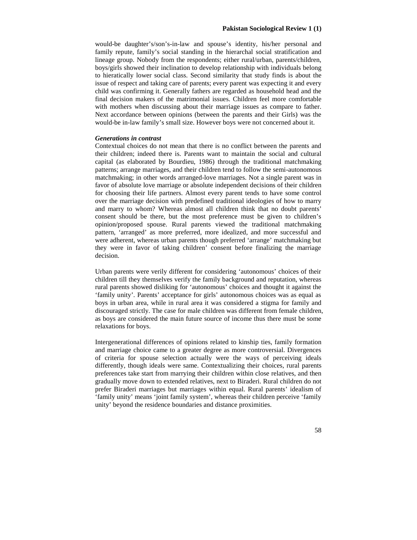would-be daughter's/son's-in-law and spouse's identity, his/her personal and family repute, family's social standing in the hierarchal social stratification and lineage group. Nobody from the respondents; either rural/urban, parents/children, boys/girls showed their inclination to develop relationship with individuals belong to hieratically lower social class. Second similarity that study finds is about the issue of respect and taking care of parents; every parent was expecting it and every child was confirming it. Generally fathers are regarded as household head and the final decision makers of the matrimonial issues. Children feel more comfortable with mothers when discussing about their marriage issues as compare to father. Next accordance between opinions (between the parents and their Girls) was the would-be in-law family's small size. However boys were not concerned about it.

### *Generations in contrast*

Contextual choices do not mean that there is no conflict between the parents and their children; indeed there is. Parents want to maintain the social and cultural capital (as elaborated by Bourdieu, 1986) through the traditional matchmaking patterns; arrange marriages, and their children tend to follow the semi-autonomous matchmaking; in other words arranged-love marriages. Not a single parent was in favor of absolute love marriage or absolute independent decisions of their children for choosing their life partners. Almost every parent tends to have some control over the marriage decision with predefined traditional ideologies of how to marry and marry to whom? Whereas almost all children think that no doubt parents' consent should be there, but the most preference must be given to children's opinion/proposed spouse. Rural parents viewed the traditional matchmaking pattern, 'arranged' as more preferred, more idealized, and more successful and were adherent, whereas urban parents though preferred 'arrange' matchmaking but they were in favor of taking children' consent before finalizing the marriage decision.

Urban parents were verily different for considering 'autonomous' choices of their children till they themselves verify the family background and reputation, whereas rural parents showed disliking for 'autonomous' choices and thought it against the 'family unity'. Parents' acceptance for girls' autonomous choices was as equal as boys in urban area, while in rural area it was considered a stigma for family and discouraged strictly. The case for male children was different from female children, as boys are considered the main future source of income thus there must be some relaxations for boys.

Intergenerational differences of opinions related to kinship ties, family formation and marriage choice came to a greater degree as more controversial. Divergences of criteria for spouse selection actually were the ways of perceiving ideals differently, though ideals were same. Contextualizing their choices, rural parents preferences take start from marrying their children within close relatives, and then gradually move down to extended relatives, next to Biraderi. Rural children do not prefer Biraderi marriages but marriages within equal. Rural parents' idealism of 'family unity' means 'joint family system', whereas their children perceive 'family unity' beyond the residence boundaries and distance proximities.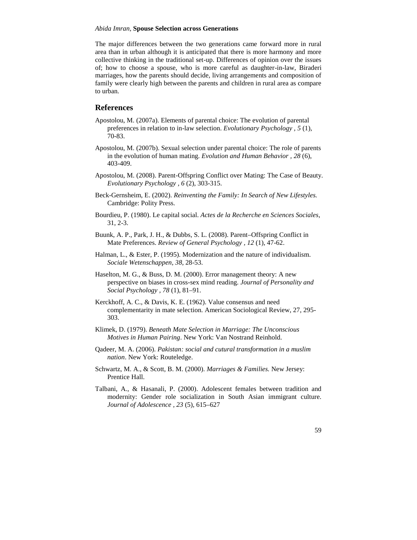#### *Abida Imran,* **Spouse Selection across Generations**

The major differences between the two generations came forward more in rural area than in urban although it is anticipated that there is more harmony and more collective thinking in the traditional set-up. Differences of opinion over the issues of; how to choose a spouse, who is more careful as daughter-in-law, Biraderi marriages, how the parents should decide, living arrangements and composition of family were clearly high between the parents and children in rural area as compare to urban.

### **References**

- Apostolou, M. (2007a). Elements of parental choice: The evolution of parental preferences in relation to in-law selection. *Evolutionary Psychology , 5* (1), 70-83.
- Apostolou, M. (2007b). Sexual selection under parental choice: The role of parents in the evolution of human mating. *Evolution and Human Behavior , 28* (6), 403-409.
- Apostolou, M. (2008). Parent-Offspring Conflict over Mating: The Case of Beauty. *Evolutionary Psychology , 6* (2), 303-315.
- Beck-Gernsheim, E. (2002). *Reinventing the Family: In Search of New Lifestyles.* Cambridge: Polity Press.
- Bourdieu, P. (1980). Le capital social. *Actes de la Recherche en Sciences Sociales*, 31, 2-3.
- Buunk, A. P., Park, J. H., & Dubbs, S. L. (2008). Parent–Offspring Conflict in Mate Preferences. *Review of General Psychology , 12* (1), 47-62.
- Halman, L., & Ester, P. (1995). Modernization and the nature of individualism. *Sociale Wetenschappen*, *38*, 28-53.
- Haselton, M. G., & Buss, D. M. (2000). Error management theory: A new perspective on biases in cross-sex mind reading. *Journal of Personality and Social Psychology , 78* (1), 81–91.
- Kerckhoff, A. C., & Davis, K. E. (1962). Value consensus and need complementarity in mate selection. American Sociological Review, 27, 295- 303.
- Klimek, D. (1979). *Beneath Mate Selection in Marriage: The Unconscious Motives in Human Pairing*. New York: Van Nostrand Reinhold.
- Qadeer, M. A. (2006). *Pakistan: social and cutural transformation in a muslim nation*. New York: Routeledge.
- Schwartz, M. A., & Scott, B. M. (2000). *Marriages & Families.* New Jersey: Prentice Hall.
- Talbani, A., & Hasanali, P. (2000). Adolescent females between tradition and modernity: Gender role socialization in South Asian immigrant culture. *Journal of Adolescence , 23* (5), 615–627